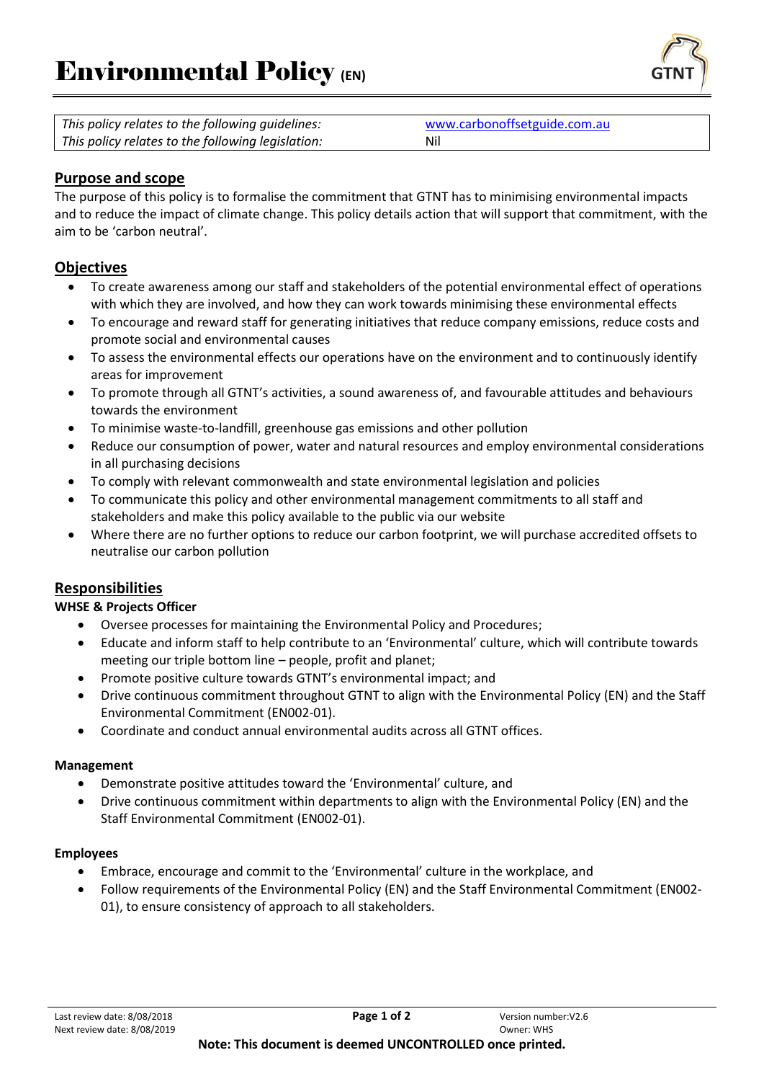

| This policy relates to the following guidelines:  | www.carbonoffsetguide.com.au |
|---------------------------------------------------|------------------------------|
| This policy relates to the following legislation: | Nil                          |

# **Purpose and scope**

The purpose of this policy is to formalise the commitment that GTNT has to minimising environmental impacts and to reduce the impact of climate change. This policy details action that will support that commitment, with the aim to be 'carbon neutral'.

## **Objectives**

- To create awareness among our staff and stakeholders of the potential environmental effect of operations with which they are involved, and how they can work towards minimising these environmental effects
- To encourage and reward staff for generating initiatives that reduce company emissions, reduce costs and promote social and environmental causes
- To assess the environmental effects our operations have on the environment and to continuously identify areas for improvement
- To promote through all GTNT's activities, a sound awareness of, and favourable attitudes and behaviours towards the environment
- To minimise waste-to-landfill, greenhouse gas emissions and other pollution
- Reduce our consumption of power, water and natural resources and employ environmental considerations in all purchasing decisions
- To comply with relevant commonwealth and state environmental legislation and policies
- To communicate this policy and other environmental management commitments to all staff and stakeholders and make this policy available to the public via our website
- Where there are no further options to reduce our carbon footprint, we will purchase accredited offsets to neutralise our carbon pollution

### **Responsibilities**

#### **WHSE & Projects Officer**

- Oversee processes for maintaining the Environmental Policy and Procedures;
- Educate and inform staff to help contribute to an 'Environmental' culture, which will contribute towards meeting our triple bottom line – people, profit and planet;
- Promote positive culture towards GTNT's environmental impact; and
- Drive continuous commitment throughout GTNT to align with the Environmental Policy (EN) and the Staff Environmental Commitment (EN002-01).
- Coordinate and conduct annual environmental audits across all GTNT offices.

#### **Management**

- Demonstrate positive attitudes toward the 'Environmental' culture, and
- Drive continuous commitment within departments to align with the Environmental Policy (EN) and the Staff Environmental Commitment (EN002-01).

#### **Employees**

- Embrace, encourage and commit to the 'Environmental' culture in the workplace, and
- Follow requirements of the Environmental Policy (EN) and the Staff Environmental Commitment (EN002- 01), to ensure consistency of approach to all stakeholders.